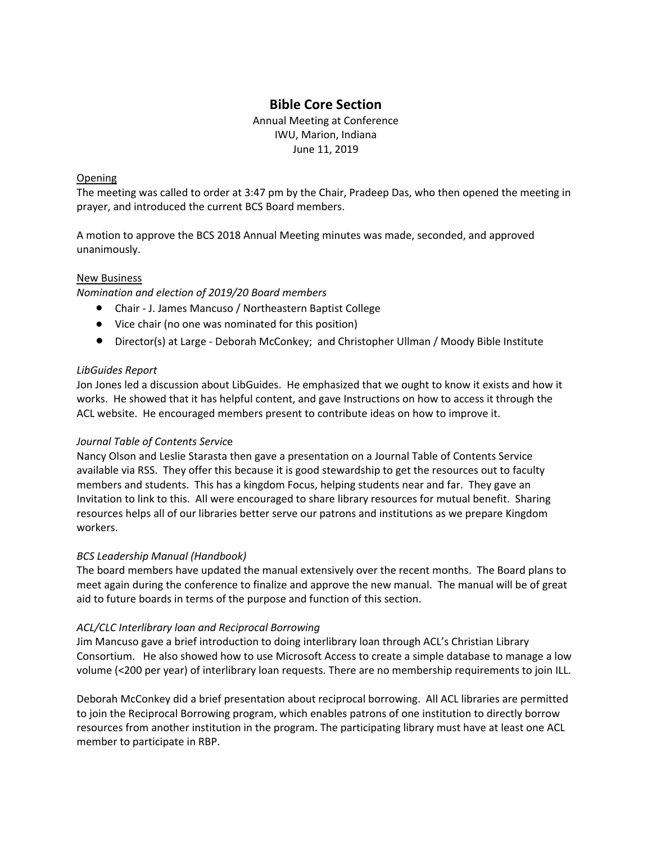# **Bible Core Section**

Annual Meeting at Conference IWU, Marion, Indiana June 11, 2019

## Opening

The meeting was called to order at 3:47 pm by the Chair, Pradeep Das, who then opened the meeting in prayer, and introduced the current BCS Board members.

A motion to approve the BCS 2018 Annual Meeting minutes was made, seconded, and approved unanimously.

## New Business

*Nomination and election of 2019/20 Board members*

- Chair J. James Mancuso / Northeastern Baptist College
- Vice chair (no one was nominated for this position)
- Director(s) at Large Deborah McConkey; and Christopher Ullman / Moody Bible Institute

## *LibGuides Report*

Jon Jones led a discussion about LibGuides. He emphasized that we ought to know it exists and how it works. He showed that it has helpful content, and gave Instructions on how to access it through the ACL website. He encouraged members present to contribute ideas on how to improve it.

#### *Journal Table of Contents Servic*e

Nancy Olson and Leslie Starasta then gave a presentation on a Journal Table of Contents Service available via RSS. They offer this because it is good stewardship to get the resources out to faculty members and students. This has a kingdom Focus, helping students near and far. They gave an Invitation to link to this. All were encouraged to share library resources for mutual benefit. Sharing resources helps all of our libraries better serve our patrons and institutions as we prepare Kingdom workers.

#### *BCS Leadership Manual (Handbook)*

The board members have updated the manual extensively over the recent months. The Board plans to meet again during the conference to finalize and approve the new manual. The manual will be of great aid to future boards in terms of the purpose and function of this section.

#### *ACL/CLC Interlibrary loan and Reciprocal Borrowing*

Jim Mancuso gave a brief introduction to doing interlibrary loan through ACL's Christian Library Consortium. He also showed how to use Microsoft Access to create a simple database to manage a low volume (<200 per year) of interlibrary loan requests. There are no membership requirements to join ILL.

Deborah McConkey did a brief presentation about reciprocal borrowing. All ACL libraries are permitted to join the Reciprocal Borrowing program, which enables patrons of one institution to directly borrow resources from another institution in the program. The participating library must have at least one ACL member to participate in RBP.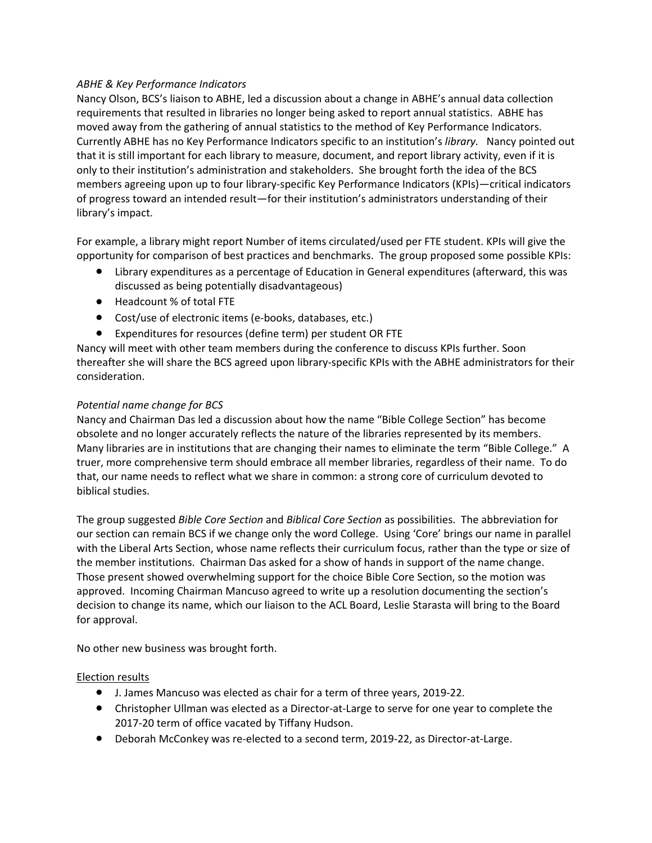# *ABHE & Key Performance Indicators*

Nancy Olson, BCS's liaison to ABHE, led a discussion about a change in ABHE's annual data collection requirements that resulted in libraries no longer being asked to report annual statistics. ABHE has moved away from the gathering of annual statistics to the method of Key Performance Indicators. Currently ABHE has no Key Performance Indicators specific to an institution's *library.* Nancy pointed out that it is still important for each library to measure, document, and report library activity, even if it is only to their institution's administration and stakeholders. She brought forth the idea of the BCS members agreeing upon up to four library-specific Key Performance Indicators (KPIs)—critical indicators of progress toward an intended result—for their institution's administrators understanding of their library's impact.

For example, a library might report Number of items circulated/used per FTE student. KPIs will give the opportunity for comparison of best practices and benchmarks. The group proposed some possible KPIs:

- Library expenditures as a percentage of Education in General expenditures (afterward, this was discussed as being potentially disadvantageous)
- Headcount % of total FTE
- Cost/use of electronic items (e-books, databases, etc.)
- Expenditures for resources (define term) per student OR FTE

Nancy will meet with other team members during the conference to discuss KPIs further. Soon thereafter she will share the BCS agreed upon library-specific KPIs with the ABHE administrators for their consideration.

## *Potential name change for BCS*

Nancy and Chairman Das led a discussion about how the name "Bible College Section" has become obsolete and no longer accurately reflects the nature of the libraries represented by its members. Many libraries are in institutions that are changing their names to eliminate the term "Bible College." A truer, more comprehensive term should embrace all member libraries, regardless of their name. To do that, our name needs to reflect what we share in common: a strong core of curriculum devoted to biblical studies.

The group suggested *Bible Core Section* and *Biblical Core Section* as possibilities. The abbreviation for our section can remain BCS if we change only the word College. Using 'Core' brings our name in parallel with the Liberal Arts Section, whose name reflects their curriculum focus, rather than the type or size of the member institutions. Chairman Das asked for a show of hands in support of the name change. Those present showed overwhelming support for the choice Bible Core Section, so the motion was approved. Incoming Chairman Mancuso agreed to write up a resolution documenting the section's decision to change its name, which our liaison to the ACL Board, Leslie Starasta will bring to the Board for approval.

No other new business was brought forth.

#### Election results

- J. James Mancuso was elected as chair for a term of three years, 2019-22.
- Christopher Ullman was elected as a Director-at-Large to serve for one year to complete the 2017-20 term of office vacated by Tiffany Hudson.
- Deborah McConkey was re-elected to a second term, 2019-22, as Director-at-Large.